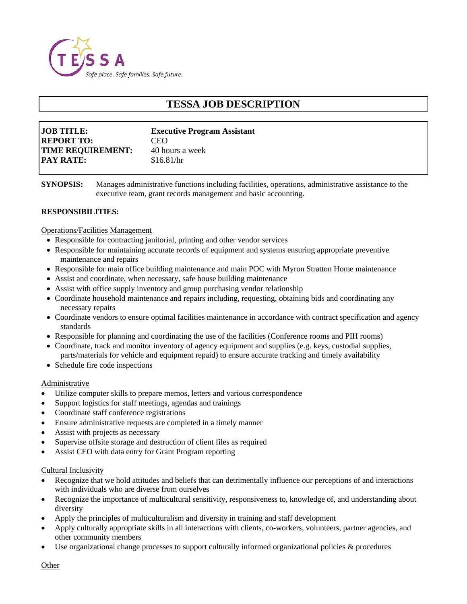

# **TESSA JOB DESCRIPTION**

| <b>JOB TITLE:</b>        | <b>Executive Program Assistant</b> |
|--------------------------|------------------------------------|
| <b>REPORT TO:</b>        | <b>CEO</b>                         |
| <b>TIME REQUIREMENT:</b> | 40 hours a week                    |
| <b>PAY RATE:</b>         | \$16.81/hr                         |

**SYNOPSIS:** Manages administrative functions including facilities, operations, administrative assistance to the executive team, grant records management and basic accounting.

## **RESPONSIBILITIES:**

Operations/Facilities Management

- Responsible for contracting janitorial, printing and other vendor services
- Responsible for maintaining accurate records of equipment and systems ensuring appropriate preventive maintenance and repairs
- Responsible for main office building maintenance and main POC with Myron Stratton Home maintenance
- Assist and coordinate, when necessary, safe house building maintenance
- Assist with office supply inventory and group purchasing vendor relationship
- Coordinate household maintenance and repairs including, requesting, obtaining bids and coordinating any necessary repairs
- Coordinate vendors to ensure optimal facilities maintenance in accordance with contract specification and agency standards
- Responsible for planning and coordinating the use of the facilities (Conference rooms and PIH rooms)
- Coordinate, track and monitor inventory of agency equipment and supplies (e.g. keys, custodial supplies,
- parts/materials for vehicle and equipment repaid) to ensure accurate tracking and timely availability • Schedule fire code inspections

#### Administrative

- Utilize computer skills to prepare memos, letters and various correspondence
- Support logistics for staff meetings, agendas and trainings
- Coordinate staff conference registrations
- Ensure administrative requests are completed in a timely manner
- Assist with projects as necessary
- Supervise offsite storage and destruction of client files as required
- Assist CEO with data entry for Grant Program reporting

#### Cultural Inclusivity

- Recognize that we hold attitudes and beliefs that can detrimentally influence our perceptions of and interactions with individuals who are diverse from ourselves
- Recognize the importance of multicultural sensitivity, responsiveness to, knowledge of, and understanding about diversity
- Apply the principles of multiculturalism and diversity in training and staff development
- Apply culturally appropriate skills in all interactions with clients, co-workers, volunteers, partner agencies, and other community members
- Use organizational change processes to support culturally informed organizational policies & procedures

**Other**